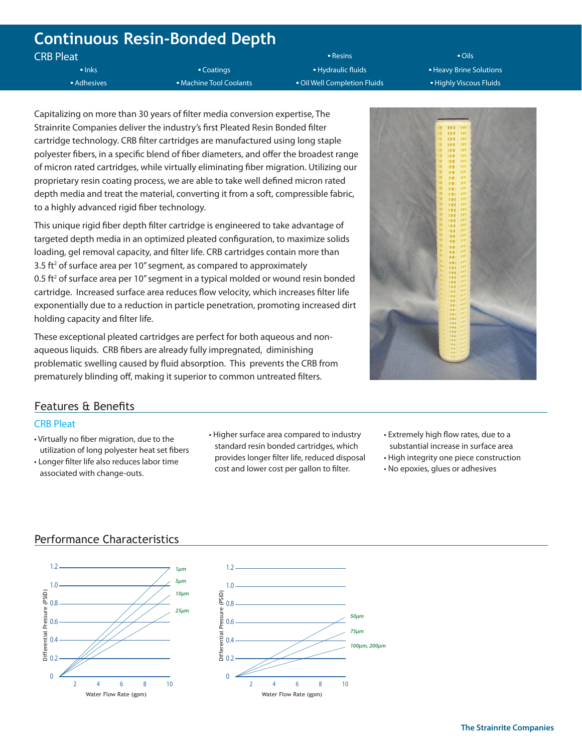# **Continuous Resin-Bonded Depth**

CRB Pleat

**▪** Inks **▪** Coatings **▪** Hydraulic fluids **▪** Heavy Brine Solutions **▪** Adhesives **▪** Adhesives **▪** Machine Tool Coolants **▪** Oil Well Completion Fluids ▪ ▪ Highly Viscous Fluids

**▪** Resins **▪** Oils

Capitalizing on more than 30 years of filter media conversion expertise, The Strainrite Companies deliver the industry's first Pleated Resin Bonded filter cartridge technology. CRB filter cartridges are manufactured using long staple polyester fibers, in a specific blend of fiber diameters, and offer the broadest range of micron rated cartridges, while virtually eliminating fiber migration. Utilizing our proprietary resin coating process, we are able to take well defined micron rated depth media and treat the material, converting it from a soft, compressible fabric, to a highly advanced rigid fiber technology.

This unique rigid fiber depth filter cartridge is engineered to take advantage of targeted depth media in an optimized pleated configuration, to maximize solids loading, gel removal capacity, and filter life. CRB cartridges contain more than 3.5 ft<sup>2</sup> of surface area per 10" segment, as compared to approximately  $0.5$  ft<sup>2</sup> of surface area per 10" segment in a typical molded or wound resin bonded cartridge. Increased surface area reduces flow velocity, which increases filter life exponentially due to a reduction in particle penetration, promoting increased dirt holding capacity and filter life.

These exceptional pleated cartridges are perfect for both aqueous and nonaqueous liquids. CRB fibers are already fully impregnated, diminishing problematic swelling caused by fluid absorption. This prevents the CRB from prematurely blinding off, making it superior to common untreated filters.



# Features & Benefits

## CRB Pleat

- Virtually no fiber migration, due to the utilization of long polyester heat set fibers
- Longer filter life also reduces labor time associated with change-outs.
- Higher surface area compared to industry standard resin bonded cartridges, which provides longer filter life, reduced disposal cost and lower cost per gallon to filter.
- Extremely high flow rates, due to a substantial increase in surface area
- High integrity one piece construction
- No epoxies, glues or adhesives

# Performance Characteristics